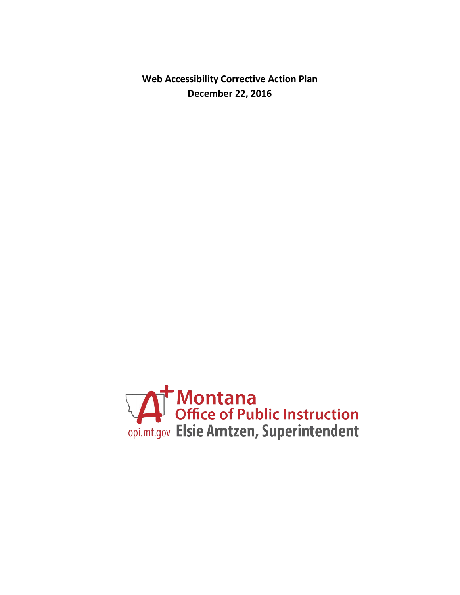**Web Accessibility Corrective Action Plan December 22, 2016**

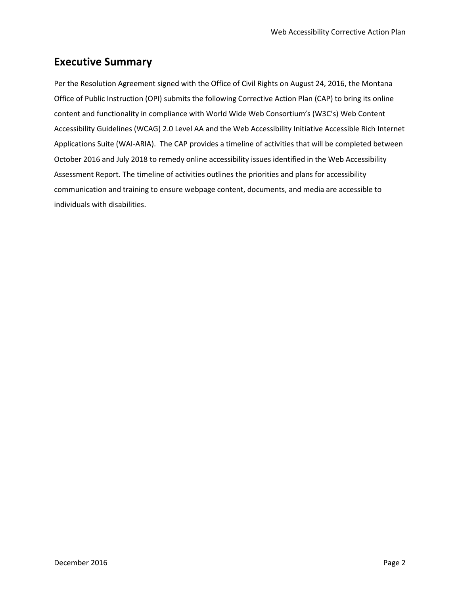## **Executive Summary**

Per the Resolution Agreement signed with the Office of Civil Rights on August 24, 2016, the Montana Office of Public Instruction (OPI) submits the following Corrective Action Plan (CAP) to bring its online content and functionality in compliance with World Wide Web Consortium's (W3C's) Web Content Accessibility Guidelines (WCAG) 2.0 Level AA and the Web Accessibility Initiative Accessible Rich Internet Applications Suite (WAI-ARIA). The CAP provides a timeline of activities that will be completed between October 2016 and July 2018 to remedy online accessibility issues identified in the Web Accessibility Assessment Report. The timeline of activities outlines the priorities and plans for accessibility communication and training to ensure webpage content, documents, and media are accessible to individuals with disabilities.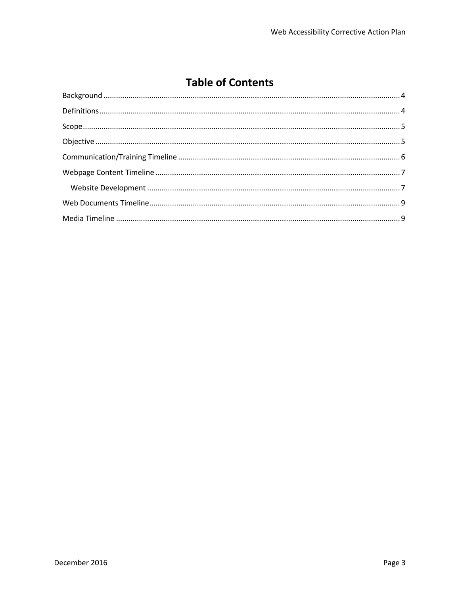# **Table of Contents**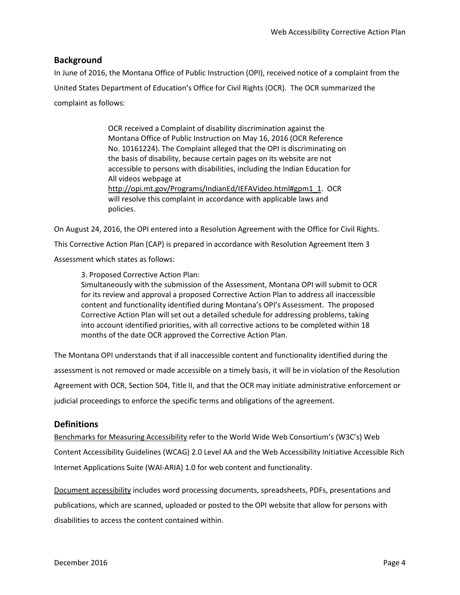### <span id="page-3-0"></span>**Background**

In June of 2016, the Montana Office of Public Instruction (OPI), received notice of a complaint from the United States Department of Education's Office for Civil Rights (OCR). The OCR summarized the complaint as follows:

> OCR received a Complaint of disability discrimination against the Montana Office of Public Instruction on May 16, 2016 (OCR Reference No. 10161224). The Complaint alleged that the OPI is discriminating on the basis of disability, because certain pages on its website are not accessible to persons with disabilities, including the Indian Education for All videos webpage at [http://opi.mt.gov/Programs/IndianEd/IEFAVideo.html#gpm1\\_1.](http://opi.mt.gov/Programs/IndianEd/IEFAVideo.html#gpm1_1) OCR will resolve this complaint in accordance with applicable laws and policies.

On August 24, 2016, the OPI entered into a Resolution Agreement with the Office for Civil Rights. This Corrective Action Plan (CAP) is prepared in accordance with Resolution Agreement Item 3 Assessment which states as follows:

3. Proposed Corrective Action Plan:

Simultaneously with the submission of the Assessment, Montana OPI will submit to OCR for its review and approval a proposed Corrective Action Plan to address all inaccessible content and functionality identified during Montana's OPI's Assessment. The proposed Corrective Action Plan will set out a detailed schedule for addressing problems, taking into account identified priorities, with all corrective actions to be completed within 18 months of the date OCR approved the Corrective Action Plan.

The Montana OPI understands that if all inaccessible content and functionality identified during the assessment is not removed or made accessible on a timely basis, it will be in violation of the Resolution Agreement with OCR, Section 504, Title II, and that the OCR may initiate administrative enforcement or judicial proceedings to enforce the specific terms and obligations of the agreement.

### <span id="page-3-1"></span>**Definitions**

Benchmarks for Measuring Accessibility refer to the World Wide Web Consortium's (W3C's) Web Content Accessibility Guidelines (WCAG) 2.0 Level AA and the Web Accessibility Initiative Accessible Rich Internet Applications Suite (WAI-ARIA) 1.0 for web content and functionality.

Document accessibility includes word processing documents, spreadsheets, PDFs, presentations and publications, which are scanned, uploaded or posted to the OPI website that allow for persons with disabilities to access the content contained within.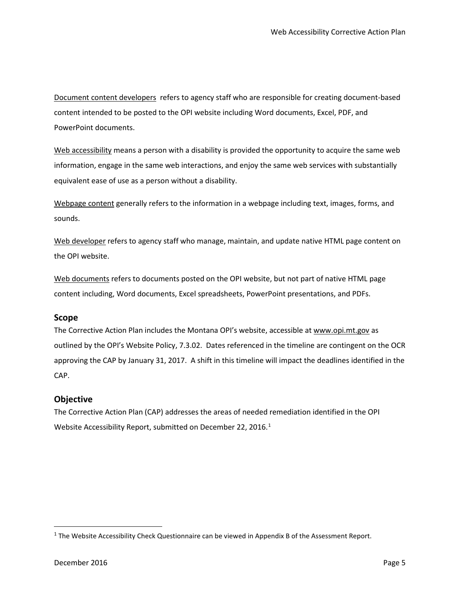Document content developers refers to agency staff who are responsible for creating document-based content intended to be posted to the OPI website including Word documents, Excel, PDF, and PowerPoint documents.

Web accessibility means a person with a disability is provided the opportunity to acquire the same web information, engage in the same web interactions, and enjoy the same web services with substantially equivalent ease of use as a person without a disability.

Webpage content generally refers to the information in a webpage including text, images, forms, and sounds.

Web developer refers to agency staff who manage, maintain, and update native HTML page content on the OPI website.

Web documents refers to documents posted on the OPI website, but not part of native HTML page content including, Word documents, Excel spreadsheets, PowerPoint presentations, and PDFs.

### <span id="page-4-0"></span>**Scope**

The Corrective Action Plan includes the Montana OPI's website, accessible a[t www.opi.mt.gov](http://www.opi.mt.gov/) as outlined by the OPI's Website Policy, 7.3.02. Dates referenced in the timeline are contingent on the OCR approving the CAP by January 31, 2017. A shift in this timeline will impact the deadlines identified in the CAP.

### <span id="page-4-1"></span>**Objective**

The Corrective Action Plan (CAP) addresses the areas of needed remediation identified in the OPI Website Accessibility Report, submitted on December 22, 20[1](#page-4-2)6. $^1$ 

<span id="page-4-2"></span><sup>&</sup>lt;sup>1</sup> The Website Accessibility Check Questionnaire can be viewed in Appendix B of the Assessment Report.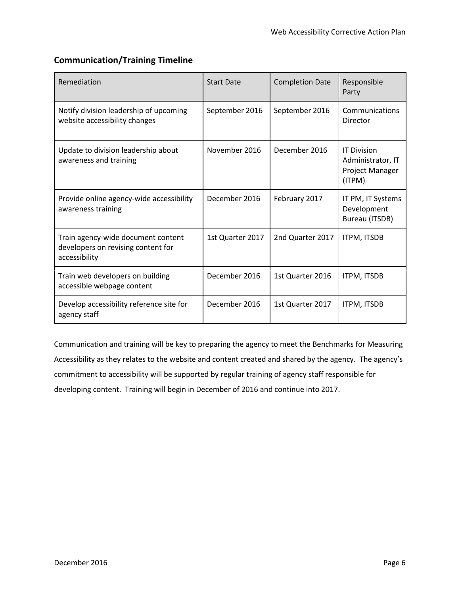## <span id="page-5-0"></span>**Communication/Training Timeline**

| Remediation                                                                               | <b>Start Date</b> | <b>Completion Date</b> | Responsible<br>Party                                                 |
|-------------------------------------------------------------------------------------------|-------------------|------------------------|----------------------------------------------------------------------|
| Notify division leadership of upcoming<br>website accessibility changes                   | September 2016    | September 2016         | Communications<br>Director                                           |
| Update to division leadership about<br>awareness and training                             | November 2016     | December 2016          | <b>IT Division</b><br>Administrator, IT<br>Project Manager<br>(ITPM) |
| Provide online agency-wide accessibility<br>awareness training                            | December 2016     | February 2017          | IT PM, IT Systems<br>Development<br>Bureau (ITSDB)                   |
| Train agency-wide document content<br>developers on revising content for<br>accessibility | 1st Quarter 2017  | 2nd Quarter 2017       | ITPM, ITSDB                                                          |
| Train web developers on building<br>accessible webpage content                            | December 2016     | 1st Quarter 2016       | ITPM, ITSDB                                                          |
| Develop accessibility reference site for<br>agency staff                                  | December 2016     | 1st Quarter 2017       | <b>ITPM, ITSDB</b>                                                   |

Communication and training will be key to preparing the agency to meet the Benchmarks for Measuring Accessibility as they relates to the website and content created and shared by the agency. The agency's commitment to accessibility will be supported by regular training of agency staff responsible for developing content. Training will begin in December of 2016 and continue into 2017.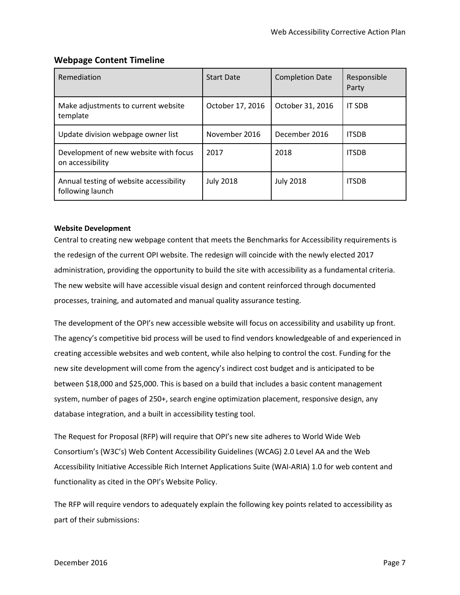## <span id="page-6-0"></span>**Webpage Content Timeline**

| Remediation                                                 | <b>Start Date</b> | <b>Completion Date</b> | Responsible<br>Party |
|-------------------------------------------------------------|-------------------|------------------------|----------------------|
| Make adjustments to current website<br>template             | October 17, 2016  | October 31, 2016       | <b>IT SDB</b>        |
| Update division webpage owner list                          | November 2016     | December 2016          | <b>ITSDB</b>         |
| Development of new website with focus<br>on accessibility   | 2017              | 2018                   | <b>ITSDB</b>         |
| Annual testing of website accessibility<br>following launch | <b>July 2018</b>  | <b>July 2018</b>       | <b>ITSDB</b>         |

### <span id="page-6-1"></span>**Website Development**

Central to creating new webpage content that meets the Benchmarks for Accessibility requirements is the redesign of the current OPI website. The redesign will coincide with the newly elected 2017 administration, providing the opportunity to build the site with accessibility as a fundamental criteria. The new website will have accessible visual design and content reinforced through documented processes, training, and automated and manual quality assurance testing.

The development of the OPI's new accessible website will focus on accessibility and usability up front. The agency's competitive bid process will be used to find vendors knowledgeable of and experienced in creating accessible websites and web content, while also helping to control the cost. Funding for the new site development will come from the agency's indirect cost budget and is anticipated to be between \$18,000 and \$25,000. This is based on a build that includes a basic content management system, number of pages of 250+, search engine optimization placement, responsive design, any database integration, and a built in accessibility testing tool.

The Request for Proposal (RFP) will require that OPI's new site adheres to World Wide Web Consortium's (W3C's) Web Content Accessibility Guidelines (WCAG) 2.0 Level AA and the Web Accessibility Initiative Accessible Rich Internet Applications Suite (WAI-ARIA) 1.0 for web content and functionality as cited in the OPI's Website Policy.

The RFP will require vendors to adequately explain the following key points related to accessibility as part of their submissions: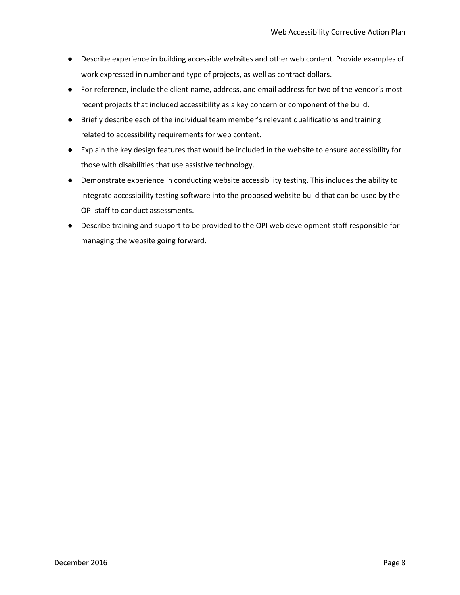- Describe experience in building accessible websites and other web content. Provide examples of work expressed in number and type of projects, as well as contract dollars.
- For reference, include the client name, address, and email address for two of the vendor's most recent projects that included accessibility as a key concern or component of the build.
- Briefly describe each of the individual team member's relevant qualifications and training related to accessibility requirements for web content.
- Explain the key design features that would be included in the website to ensure accessibility for those with disabilities that use assistive technology.
- Demonstrate experience in conducting website accessibility testing. This includes the ability to integrate accessibility testing software into the proposed website build that can be used by the OPI staff to conduct assessments.
- Describe training and support to be provided to the OPI web development staff responsible for managing the website going forward.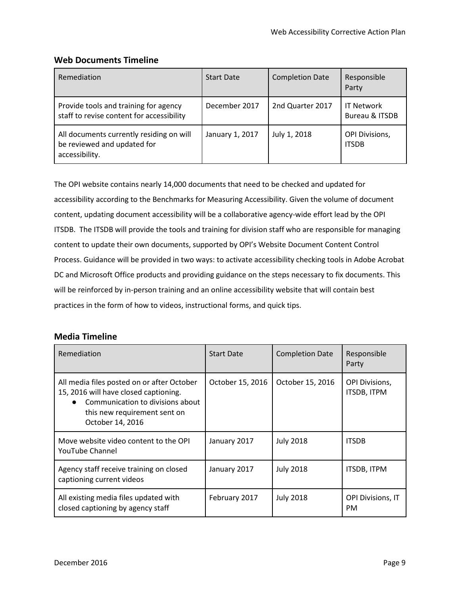## <span id="page-8-0"></span>**Web Documents Timeline**

| Remediation                                                                               | <b>Start Date</b> | <b>Completion Date</b> | Responsible<br>Party                  |
|-------------------------------------------------------------------------------------------|-------------------|------------------------|---------------------------------------|
| Provide tools and training for agency<br>staff to revise content for accessibility        | December 2017     | 2nd Quarter 2017       | <b>IT Network</b><br>Bureau & ITSDB   |
| All documents currently residing on will<br>be reviewed and updated for<br>accessibility. | January 1, 2017   | July 1, 2018           | <b>OPI Divisions,</b><br><b>ITSDB</b> |

The OPI website contains nearly 14,000 documents that need to be checked and updated for accessibility according to the Benchmarks for Measuring Accessibility. Given the volume of document content, updating document accessibility will be a collaborative agency-wide effort lead by the OPI ITSDB. The ITSDB will provide the tools and training for division staff who are responsible for managing content to update their own documents, supported by OPI's Website Document Content Control Process. Guidance will be provided in two ways: to activate accessibility checking tools in Adobe Acrobat DC and Microsoft Office products and providing guidance on the steps necessary to fix documents. This will be reinforced by in-person training and an online accessibility website that will contain best practices in the form of how to videos, instructional forms, and quick tips.

## <span id="page-8-1"></span>**Media Timeline**

| Remediation                                                                                                                                                                              | <b>Start Date</b> | <b>Completion Date</b> | Responsible<br>Party                  |
|------------------------------------------------------------------------------------------------------------------------------------------------------------------------------------------|-------------------|------------------------|---------------------------------------|
| All media files posted on or after October<br>15, 2016 will have closed captioning.<br>Communication to divisions about<br>$\bullet$<br>this new requirement sent on<br>October 14, 2016 | October 15, 2016  | October 15, 2016       | <b>OPI Divisions,</b><br>ITSDB, ITPM  |
| Move website video content to the OPI<br><b>YouTube Channel</b>                                                                                                                          | January 2017      | <b>July 2018</b>       | <b>ITSDB</b>                          |
| Agency staff receive training on closed<br>captioning current videos                                                                                                                     | January 2017      | <b>July 2018</b>       | ITSDB, ITPM                           |
| All existing media files updated with<br>closed captioning by agency staff                                                                                                               | February 2017     | <b>July 2018</b>       | <b>OPI Divisions, IT</b><br><b>PM</b> |